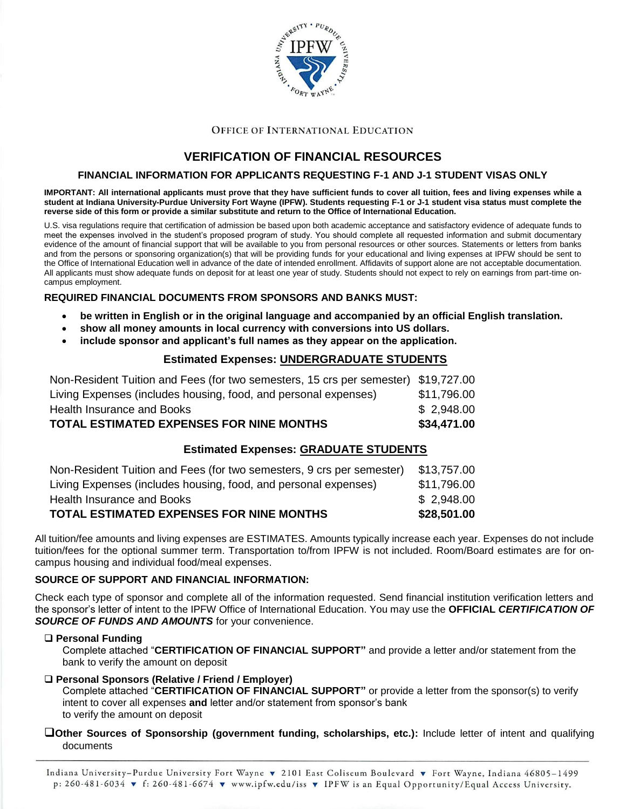

#### **OFFICE OF INTERNATIONAL EDUCATION**

# **VERIFICATION OF FINANCIAL RESOURCES**

#### **FINANCIAL INFORMATION FOR APPLICANTS REQUESTING F-1 AND J-1 STUDENT VISAS ONLY**

**IMPORTANT: All international applicants must prove that they have sufficient funds to cover all tuition, fees and living expenses while a student at Indiana University-Purdue University Fort Wayne (IPFW). Students requesting F-1 or J-1 student visa status must complete the reverse side of this form or provide a similar substitute and return to the Office of International Education.** 

U.S. visa regulations require that certification of admission be based upon both academic acceptance and satisfactory evidence of adequate funds to meet the expenses involved in the student's proposed program of study. You should complete all requested information and submit documentary evidence of the amount of financial support that will be available to you from personal resources or other sources. Statements or letters from banks and from the persons or sponsoring organization(s) that will be providing funds for your educational and living expenses at IPFW should be sent to the Office of International Education well in advance of the date of intended enrollment. Affidavits of support alone are not acceptable documentation. All applicants must show adequate funds on deposit for at least one year of study. Students should not expect to rely on earnings from part-time oncampus employment.

#### **REQUIRED FINANCIAL DOCUMENTS FROM SPONSORS AND BANKS MUST:**

- **be written in English or in the original language and accompanied by an official English translation.**
- **show all money amounts in local currency with conversions into US dollars.**
- **include sponsor and applicant's full names as they appear on the application.**

### **Estimated Expenses: UNDERGRADUATE STUDENTS**

| <b>TOTAL ESTIMATED EXPENSES FOR NINE MONTHS</b>                                    | \$34.471.00 |
|------------------------------------------------------------------------------------|-------------|
| Health Insurance and Books                                                         | \$2,948.00  |
| Living Expenses (includes housing, food, and personal expenses)                    | \$11,796.00 |
| Non-Resident Tuition and Fees (for two semesters, 15 crs per semester) \$19,727.00 |             |

### **Estimated Expenses: GRADUATE STUDENTS**

| TOTAL ESTIMATED EXPENSES FOR NINE MONTHS                              | \$28,501.00 |
|-----------------------------------------------------------------------|-------------|
| Health Insurance and Books                                            | \$2,948.00  |
| Living Expenses (includes housing, food, and personal expenses)       | \$11,796.00 |
| Non-Resident Tuition and Fees (for two semesters, 9 crs per semester) | \$13,757.00 |

All tuition/fee amounts and living expenses are ESTIMATES. Amounts typically increase each year. Expenses do not include tuition/fees for the optional summer term. Transportation to/from IPFW is not included. Room/Board estimates are for oncampus housing and individual food/meal expenses.

#### **SOURCE OF SUPPORT AND FINANCIAL INFORMATION:**

Check each type of sponsor and complete all of the information requested. Send financial institution verification letters and the sponsor's letter of intent to the IPFW Office of International Education. You may use the **OFFICIAL** *CERTIFICATION OF SOURCE OF FUNDS AND AMOUNTS* for your convenience.

#### **Personal Funding**

Complete attached "**CERTIFICATION OF FINANCIAL SUPPORT"** and provide a letter and/or statement from the bank to verify the amount on deposit

#### **Personal Sponsors (Relative / Friend / Employer)**

Complete attached "**CERTIFICATION OF FINANCIAL SUPPORT"** or provide a letter from the sponsor(s) to verify intent to cover all expenses **and** letter and/or statement from sponsor's bank to verify the amount on deposit

#### **Other Sources of Sponsorship (government funding, scholarships, etc.):** Include letter of intent and qualifying documents

Indiana University-Purdue University Fort Wayne v 2101 East Coliseum Boulevard v Fort Wayne, Indiana 46805-1499 p: 260-481-6034 v f: 260-481-6674 v www.ipfw.edu/iss v IPFW is an Equal Opportunity/Equal Access University.